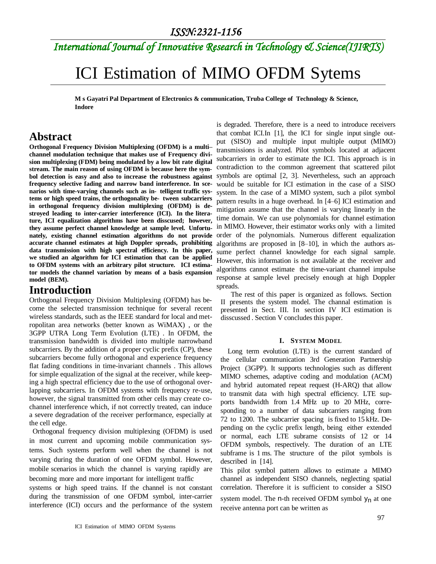# *International Journal of Innovative Research in Technology & Science(IJIRTS)*

# ICI Estimation of MIMO OFDM Sytems

**M s Gayatri Pal Department of Electronics & communication, Truba College of Technology & Science, Indore**

### **Abstract**

**Orthogonal Frequency Division Multiplexing (OFDM) is a multi– channel modulation technique that makes use of Frequency division multiplexing (FDM) being modulated by a low bit rate digital stream. The main reason of using OFDM is because here the symbol detection is easy and also to increase the robustness against frequency selective fading and narrow band interference. In scenarios with time-varying channels such as in- telligent traffic systems or high speed trains, the orthogonality be- tween subcarriers in orthogonal frequency division multiplexing (OFDM) is destroyed leading to inter-carrier interference (ICI). In the literature, ICI equalization algorithms have been disscused; however, they assume perfect channel knowledge at sample level. Unfortunately, existing channel estimation algorithms do not provide accurate channel estimates at high Doppler spreads, prohibiting data transmission with high spectral efficiency. In this paper, we studied an algorithm for ICI estimation that can be applied to OFDM systems with an arbitrary pilot structure. ICI estimator models the channel variation by means of a basis expansion model (BEM).**

## **Introduction**

Orthogonal Frequency Division Multiplexing (OFDM) has become the selected transmission technique for several recent wireless standards, such as the IEEE standard for local and metropolitan area networks (better known as WiMAX) , or the 3GPP UTRA Long Term Evolution (LTE) . In OFDM, the transmission bandwidth is divided into multiple narrowband subcarriers. By the addition of a proper cyclic prefix (CP), these subcarriers become fully orthogonal and experience frequency flat fading conditions in time-invariant channels . This allows for simple equalization of the signal at the receiver, while keeping a high spectral efficiency due to the use of orthogonal overlapping subcarriers. In OFDM systems with frequency re-use, however, the signal transmitted from other cells may create cochannel interference which, if not correctly treated, can induce a severe degradation of the receiver performance, especially at the cell edge.

 Orthogonal frequency division multiplexing (OFDM) is used in most current and upcoming mobile communication systems. Such systems perform well when the channel is not varying during the duration of one OFDM symbol. However, mobile scenarios in which the channel is varying rapidly are becoming more and more important for intelligent traffic

systems or high speed trains. If the channel is not constant during the transmission of one OFDM symbol, inter-carrier interference (ICI) occurs and the performance of the system

is degraded. Therefore, there is a need to introduce receivers that combat ICI.In [1], the ICI for single input single output (SISO) and multiple input multiple output (MIMO) transmissions is analyzed. Pilot symbols located at adjacent subcarriers in order to estimate the ICI. This approach is in contradiction to the common agreement that scattered pilot symbols are optimal [2, 3]. Nevertheless, such an approach would be suitable for ICI estimation in the case of a SISO system. In the case of a MIMO system, such a pilot symbol pattern results in a huge overhead. In [4–6] ICI estimation and mitigation assume that the channel is varying linearly in the time domain. We can use polynomials for channel estimation in MIMO. However, their estimator works only with a limited order of the polynomials. Numerous different equalization algorithms are proposed in [8–10], in which the authors assume perfect channel knowledge for each signal sample. However, this information is not available at the receiver and algorithms cannot estimate the time-variant channel impulse response at sample level precisely enough at high Doppler spreads.

The rest of this paper is organized as follows. Section II presents the system model. The channal estimation is presented in Sect. III. In section IV ICI estimation is disscussed . Section V concludes this paper.

#### **I. SYSTEM MODEL**

Long term evolution (LTE) is the current standard of the cellular communication 3rd Generation Partnership Project (3GPP). It supports technologies such as different MIMO schemes, adaptive coding and modulation (ACM) and hybrid automated repeat request (H-ARQ) that allow to transmit data with high spectral efficiency. LTE supports bandwidth from 1.4 MHz up to 20 MHz, corresponding to a number of data subcarriers ranging from 72 to 1200. The subcarrier spacing is fixed to 15 kHz. Depending on the cyclic prefix length, being either extended or normal, each LTE subrame consists of 12 or 14 OFDM symbols, respectively. The duration of an LTE subframe is 1 ms. The structure of the pilot symbols is described in [14].

This pilot symbol pattern allows to estimate a MIMO channel as independent SISO channels, neglecting spatial correlation. Therefore it is sufficient to consider a SISO

system model. The n-th received OFDM symbol  $y_n$  at one receive antenna port can be written as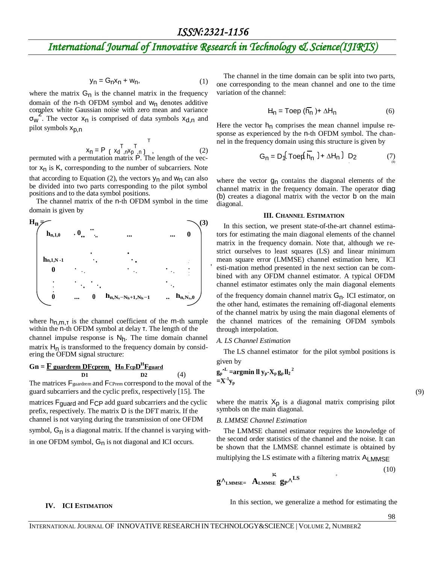# *International Journal of Innovative Research in Technology & Science(IJIRTS)*

$$
y_n = G_n x_n + w_n, \tag{1}
$$

where the matrix  $G_n$  is the channel matrix in the frequency domain of the n-th OFDM symbol and  $w_n$  denotes additive complex white Gaussian noise with zero mean and variance  $\sigma_w$ . The vector  $x_n$  is comprised of data symbols  $x_{d,n}$  and pilot symbols  $x_{p,n}$ 

$$
x_{n} = P \begin{bmatrix} T & T \\ Y_{d,n}x_{p,n} & Q \end{bmatrix}, \qquad (2)
$$

permuted with a permutation matrix P. The length of the vector  $x_n$  is K, corresponding to the number of subcarriers. Note that according to Equation (2), the vectors  $y_n$  and  $w_n$  can also be divided into two parts corresponding to the pilot symbol positions and to the data symbol positions.

The channel matrix of the n-th OFDM symbol in the time domain is given by



where  $h_{n,m,T}$  is the channel coefficient of the m-th sample within the n-th OFDM symbol at delay τ. The length of the channel impulse response is  $N_h$ . The time domain channel matrix  $H_n$  is transformed to the frequency domain by considering the OFDM signal structure:

### $\mathbf{Gn} = \mathbf{F}$  guardrem  $\mathbf{DFcprem}$ ,  $\mathbf{Hn}$   $\mathbf{Fcp}$  $\mathbf{D}^{\mathrm{H}}$  $\mathbf{Fgaard}$

**D1 D2** (4)

The matrices F<sub>guardrem</sub> and F<sub>CPrem</sub> correspond to the moval of the guard subcarriers and the cyclic prefix, respectively [15]. The

matrices Fguard and FCP add guard subcarriers and the cyclic prefix, respectively. The matrix D is the DFT matrix. If the channel is not varying during the transmission of one OFDM symbol,  $G_n$  is a diagonal matrix. If the channel is varying within one OFDM symbol,  $G_n$  is not diagonal and ICI occurs.

The channel in the time domain can be split into two parts, one corresponding to the mean channel and one to the time variation of the channel:

$$
H_n = \text{Toep } (\overline{h_n}) + \Delta H_n \tag{6}
$$

Here the vector  $h_n$  comprises the mean channel impulse response as experienced by the n-th OFDM symbol. The channel in the frequency domain using this structure is given by

$$
G_n = D_1(\text{Toeq } \overline{h}_n \cdot) + \Delta H_n) D_2 \tag{7}
$$

where the vector  $g_n$  contains the diagonal elements of the channel matrix in the frequency domain. The operator diag (b) creates a diagonal matrix with the vector b on the main diagonal.

#### **III. CHANNEL ESTIMATION**

In this section, we present state-of-the-art channel estimators for estimating the main diagonal elements of the channel matrix in the frequency domain. Note that, although we restrict ourselves to least squares (LS) and linear minimum mean square error (LMMSE) channel estimation here, ICI esti-mation method presented in the next section can be combined with any OFDM channel estimator. A typical OFDM channel estimator estimates only the main diagonal elements

of the frequency domain channel matrix  $G_n$ . ICI estimator, on the other hand, estimates the remaining off-diagonal elements of the channel matrix by using the main diagonal elements of the channel matrices of the remaining OFDM symbols through interpolation.

#### *A. LS Channel Estimation*

The LS channel estimator for the pilot symbol positions is given by

$$
\begin{array}{l} g_p{}^{\Lambda L} \!=\!\! \text{argmin}\; ll\; y_p\text{-}X_p\,g_p\,{{ll}_2}^2 \\ \!=\!\! X\text{-}{}^1\! y_p\end{array}
$$

(9)

where the matrix  $X_p$  is a diagonal matrix comprising pilot symbols on the main diagonal.

#### *B. LMMSE Channel Estimation*

The LMMSE channel estimator requires the knowledge of the second order statistics of the channel and the noise. It can be shown that the LMMSE channel estimate is obtained by

multiplying the LS estimate with a filtering matrix ALMMSE

$$
\mathbf{g}^{\mathbf{\Lambda}}_{\text{LMMSE}} = \mathbf{A}_{\text{LMMSE}} \mathbf{g}_{\text{P}} \mathbf{\Lambda}^{\text{LS}}
$$
 (10)

**IV.** ICI ESTIMATION In this section, we generalize a method for estimating the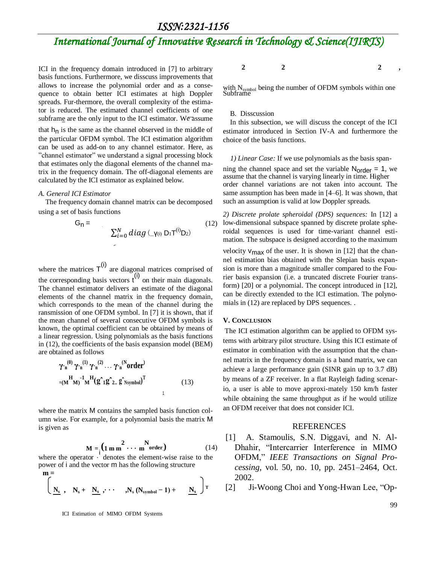### *ISSN:2321-1156*

# *International Journal of Innovative Research in Technology & Science(IJIRTS)*

ICI in the frequency domain introduced in [7] to arbitrary basis functions. Furthermore, we disscuss improvements that allows to increase the polynomial order and as a consequence to obtain better ICI estimates at high Doppler spreads. Fur-thermore, the overall complexity of the estimator is reduced. The estimated channel coefficients of one subframe are the only input to the ICI estimator. We assume

that  $h_n$  is the same as the channel observed in the middle of the particular OFDM symbol. The ICI estimation algorithm can be used as add-on to any channel estimator. Here, as "channel estimator" we understand a signal processing block that estimates only the diagonal elements of the channel matrix in the frequency domain. The off-diagonal elements are calculated by the ICI estimator as explained below.

#### *A. General ICI Estimator*

The frequency domain channel matrix can be decomposed using a set of basis functions

$$
G_{n} = \sum_{i=0}^{N} diag(\gamma_{(i)} D_{1} T^{(i)} D_{2})
$$
 (12)

where the matrices  $T^{(i)}$  are diagonal matrices comprised of the corresponding basis vectors  $\tilde{t}^{(i)}$  on their main diagonals. The channel estimator delivers an estimate of the diagonal elements of the channel matrix in the frequency domain, which corresponds to the mean of the channel during the ransmission of one OFDM symbol. In [7] it is shown, that if the mean channel of several consecutive OFDM symbols is known, the optimal coefficient can be obtained by means of a linear regression. Using polynomials as the basis functions in (12), the coefficients of the basis expansion model (BEM) are obtained as follows

$$
\gamma \cdot_{n}^{(0)} \gamma \cdot_{n}^{(1)} \gamma \cdot_{n}^{(2)} \cdots \gamma \cdot_{n}^{(N} order)
$$
  
=
$$
(\mathbf{M}^{H} \mathbf{M})^{-1} \mathbf{M}^{H} (\mathbf{g}^{2} \mathbf{1} \mathbf{g}^{2} \mathbf{2} \mathbf{.} \mathbf{g}^{2} \mathbf{N} \mathbf{Symbol})^{T}
$$
 (13)

where the matrix M contains the sampled basis function column wise. For example, for a polynomial basis the matrix M is given as

$$
M = \left(1 \text{ m m}^2 \cdots \text{ m}^N \text{order}\right) \tag{14}
$$

where the operator  $\cdot$  denotes the element-wise raise to the power of i and the vector m has the following structure

$$
\mathbf{m} = \begin{bmatrix} \mathbf{N}_s & \mathbf{N}_s + \mathbf{N}_s & \cdots & \mathbf{N}_s \left( \mathbf{N}_{\text{symbol}} - 1 \right) + \mathbf{N}_s \end{bmatrix} \mathbf{T}
$$

ICI Estimation of MIMO OFDM Systems

$$
2 \qquad \qquad 2 \qquad \qquad 2 \qquad ,
$$

with N<sub>symbol</sub> being the number of OFDM symbols within one<br>Subframe

### B. Disscussion

In this subsection, we will discuss the concept of the ICI estimator introduced in Section IV-A and furthermore the choice of the basis functions.

#### *1) Linear Case:* If we use polynomials as the basis span-

ning the channel space and set the variable  $N_{\text{order}} = 1$ , we assume that the channel is varying linearly in time. Higher order channel variations are not taken into account. The same assumption has been made in [4–6]. It was shown, that such an assumption is valid at low Doppler spreads.

*2) Discrete prolate spheroidal (DPS) sequences:* In [12] a low-dimensional subspace spanned by discrete prolate spheroidal sequences is used for time-variant channel estimation. The subspace is designed according to the maximum

velocity  $V_{\text{max}}$  of the user. It is shown in [12] that the channel estimation bias obtained with the Slepian basis expansion is more than a magnitude smaller compared to the Fourier basis expansion (i.e. a truncated discrete Fourier transform) [20] or a polynomial. The concept introduced in [12], can be directly extended to the ICI estimation. The polynomials in (12) are replaced by DPS sequences. .

#### **V. CONCLUSION**

The ICI estimation algorithm can be applied to OFDM systems with arbitrary pilot structure. Using this ICI estimate of estimator in combination with the assumption that the channel matrix in the frequency domain is a band matrix, we can achieve a large performance gain (SINR gain up to 3.7 dB) by means of a ZF receiver. In a flat Rayleigh fading scenario, a user is able to move approxi-mately 150 km/h faster while obtaining the same throughput as if he would utilize an OFDM receiver that does not consider ICI.

#### REFERENCES

- [1] A. Stamoulis, S.N. Diggavi, and N. Al-Dhahir, "Intercarrier Interference in MIMO OFDM," *IEEE Transactions on Signal Processing*, vol. 50, no. 10, pp. 2451–2464, Oct. 2002.
- [2] Ji-Woong Choi and Yong-Hwan Lee, "Op-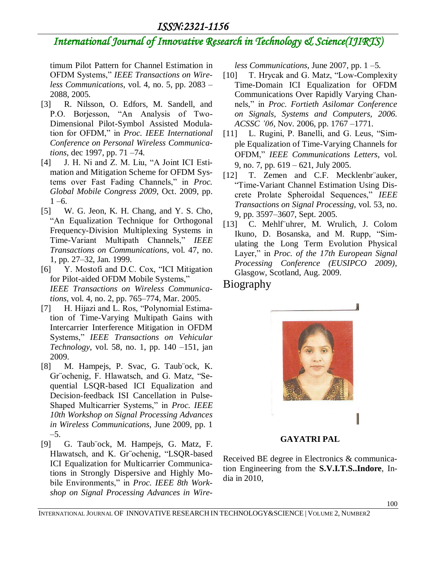## *ISSN:2321-1156*

# *International Journal of Innovative Research in Technology & Science(IJIRTS)*

timum Pilot Pattern for Channel Estimation in OFDM Systems," *IEEE Transactions on Wireless Communications*, vol. 4, no. 5, pp. 2083 – 2088, 2005.

- [3] R. Nilsson, O. Edfors, M. Sandell, and P.O. Borjesson, "An Analysis of Two-Dimensional Pilot-Symbol Assisted Modulation for OFDM," in *Proc. IEEE International Conference on Personal Wireless Communications*, dec 1997, pp. 71 –74.
- [4] J. H. Ni and Z. M. Liu, "A Joint ICI Estimation and Mitigation Scheme for OFDM Systems over Fast Fading Channels," in *Proc. Global Mobile Congress 2009*, Oct. 2009, pp.  $1 - 6$ .
- [5] W. G. Jeon, K. H. Chang, and Y. S. Cho, "An Equalization Technique for Orthogonal Frequency-Division Multiplexing Systems in Time-Variant Multipath Channels," *IEEE Transactions on Communications*, vol. 47, no. 1, pp. 27–32, Jan. 1999.
- [6] Y. Mostofi and D.C. Cox, "ICI Mitigation for Pilot-aided OFDM Mobile Systems," *IEEE Transactions on Wireless Communications*, vol. 4, no. 2, pp. 765–774, Mar. 2005.
- [7] H. Hijazi and L. Ros, "Polynomial Estimation of Time-Varying Multipath Gains with Intercarrier Interference Mitigation in OFDM Systems," *IEEE Transactions on Vehicular Technology*, vol. 58, no. 1, pp. 140 –151, jan 2009.
- [8] M. Hampejs, P. Svac, G. Taub¨ock, K. Gr¨ochenig, F. Hlawatsch, and G. Matz, "Sequential LSQR-based ICI Equalization and Decision-feedback ISI Cancellation in Pulse-Shaped Multicarrier Systems," in *Proc. IEEE 10th Workshop on Signal Processing Advances in Wireless Communications*, June 2009, pp. 1 –5.
- [9] G. Taub¨ock, M. Hampejs, G. Matz, F. Hlawatsch, and K. Gr¨ochenig, "LSQR-based ICI Equalization for Multicarrier Communications in Strongly Dispersive and Highly Mobile Environments," in *Proc. IEEE 8th Workshop on Signal Processing Advances in Wire-*

*less Communications*, June 2007, pp. 1 –5.

- [10] T. Hrycak and G. Matz, "Low-Complexity" Time-Domain ICI Equalization for OFDM Communications Over Rapidly Varying Channels," in *Proc. Fortieth Asilomar Conference on Signals, Systems and Computers, 2006. ACSSC '06*, Nov. 2006, pp. 1767 –1771.
- [11] L. Rugini, P. Banelli, and G. Leus, "Simple Equalization of Time-Varying Channels for OFDM," *IEEE Communications Letters*, vol. 9, no. 7, pp. 619 – 621, July 2005.
- [12] T. Zemen and C.F. Mecklenbr¨auker, "Time-Variant Channel Estimation Using Discrete Prolate Spheroidal Sequences," *IEEE Transactions on Signal Processing*, vol. 53, no. 9, pp. 3597–3607, Sept. 2005.
- [13] C. Mehlf uhrer, M. Wrulich, J. Colom Ikuno, D. Bosanska, and M. Rupp, "Simulating the Long Term Evolution Physical Layer," in *Proc. of the 17th European Signal Processing Conference (EUSIPCO 2009)*, Glasgow, Scotland, Aug. 2009.

# Biography



### **GAYATRI PAL**

Received BE degree in Electronics & communication Engineering from the **S.V.I.T.S..Indore**, India in 2010,

INTERNATIONAL JOURNAL OF INNOVATIVE RESEARCH IN TECHNOLOGY&SCIENCE | VOLUME 2, NUMBER2